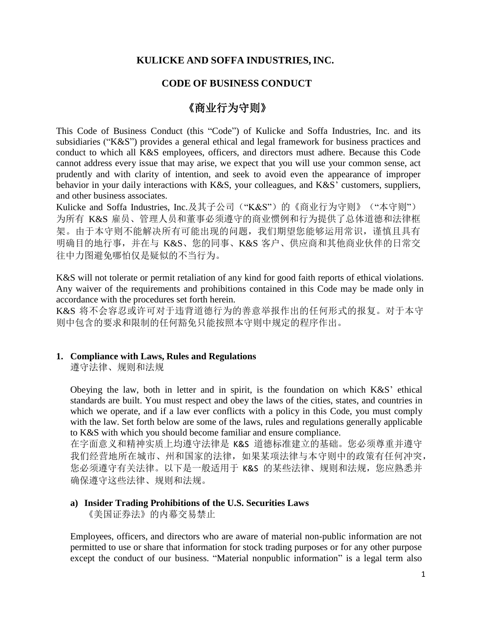# **KULICKE AND SOFFA INDUSTRIES, INC.**

# **CODE OF BUSINESS CONDUCT**

# 《商业行为守则》

This Code of Business Conduct (this "Code") of Kulicke and Soffa Industries, Inc. and its subsidiaries ("K&S") provides a general ethical and legal framework for business practices and conduct to which all K&S employees, officers, and directors must adhere. Because this Code cannot address every issue that may arise, we expect that you will use your common sense, act prudently and with clarity of intention, and seek to avoid even the appearance of improper behavior in your daily interactions with K&S, your colleagues, and K&S' customers, suppliers, and other business associates.

Kulicke and Soffa Industries, Inc.及其子公司("K&S")的《商业行为守则》("本守则") 为所有 K&S 雇员、管理人员和董事必须遵守的商业惯例和行为提供了总体道德和法律框 架。由于本守则不能解决所有可能出现的问题,我们期望您能够运用常识,谨慎且具有 明确目的地行事,并在与 K&S、您的同事、K&S 客户、供应商和其他商业伙伴的日常交 往中力图避免哪怕仅是疑似的不当行为。

K&S will not tolerate or permit retaliation of any kind for good faith reports of ethical violations. Any waiver of the requirements and prohibitions contained in this Code may be made only in accordance with the procedures set forth herein.

K&S 将不会容忍或许可对于违背道德行为的善意举报作出的任何形式的报复。对于本守 则中包含的要求和限制的任何豁免只能按照本守则中规定的程序作出。

## **1. Compliance with Laws, Rules and Regulations**

遵守法律、规则和法规

Obeying the law, both in letter and in spirit, is the foundation on which K&S' ethical standards are built. You must respect and obey the laws of the cities, states, and countries in which we operate, and if a law ever conflicts with a policy in this Code, you must comply with the law. Set forth below are some of the laws, rules and regulations generally applicable to K&S with which you should become familiar and ensure compliance.

在字面意义和精神实质上均遵守法律是 K&S 道德标准建立的基础。您必须尊重并遵守 我们经营地所在城市、州和国家的法律,如果某项法律与本守则中的政策有任何冲突, 您必须遵守有关法律。以下是一般适用于 K&S 的某些法律、规则和法规, 您应熟悉并 确保遵守这些法律、规则和法规。

#### **a) Insider Trading Prohibitions of the U.S. Securities Laws** 《美国证券法》的内幕交易禁止

Employees, officers, and directors who are aware of material non-public information are not permitted to use or share that information for stock trading purposes or for any other purpose except the conduct of our business. "Material nonpublic information" is a legal term also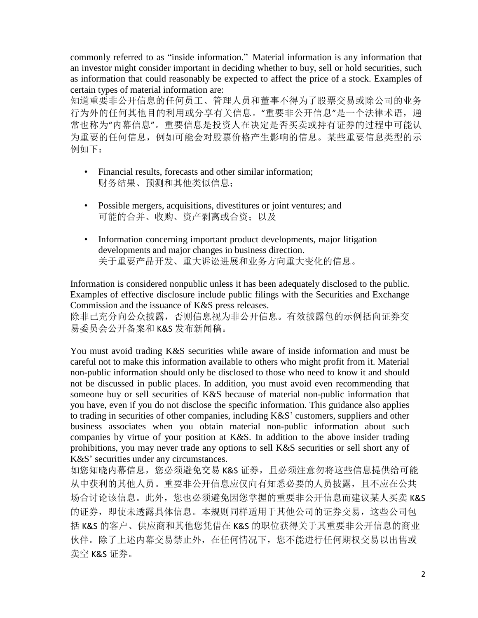commonly referred to as "inside information." Material information is any information that an investor might consider important in deciding whether to buy, sell or hold securities, such as information that could reasonably be expected to affect the price of a stock. Examples of certain types of material information are:

知道重要非公开信息的任何员工、管理人员和董事不得为了股票交易或除公司的业务 行为外的任何其他目的利用或分享有关信息。"重要非公开信息"是一个法律术语,通 常也称为"内幕信息"。重要信息是投资人在决定是否买卖或持有证券的过程中可能认 为重要的任何信息,例如可能会对股票价格产生影响的信息。某些重要信息类型的示 例如下:

- Financial results, forecasts and other similar information; 财务结果、预测和其他类似信息;
- Possible mergers, acquisitions, divestitures or joint ventures; and 可能的合并、收购、资产剥离或合资;以及
- Information concerning important product developments, major litigation developments and major changes in business direction. 关于重要产品开发、重大诉讼进展和业务方向重大变化的信息。

Information is considered nonpublic unless it has been adequately disclosed to the public. Examples of effective disclosure include public filings with the Securities and Exchange Commission and the issuance of K&S press releases.

除非已充分向公众披露,否则信息视为非公开信息。有效披露包的示例括向证券交 易委员会公开备案和 K&S 发布新闻稿。

You must avoid trading K&S securities while aware of inside information and must be careful not to make this information available to others who might profit from it. Material non-public information should only be disclosed to those who need to know it and should not be discussed in public places. In addition, you must avoid even recommending that someone buy or sell securities of K&S because of material non-public information that you have, even if you do not disclose the specific information. This guidance also applies to trading in securities of other companies, including K&S' customers, suppliers and other business associates when you obtain material non-public information about such companies by virtue of your position at K&S. In addition to the above insider trading prohibitions, you may never trade any options to sell K&S securities or sell short any of K&S' securities under any circumstances.

如您知晓内幕信息,您必须避免交易 K&S 证券,且必须注意勿将这些信息提供给可能 从中获利的其他人员。重要非公开信息应仅向有知悉必要的人员披露,且不应在公共 场合讨论该信息。此外,您也必须避免因您掌握的重要非公开信息而建议某人买卖 K&S 的证券,即使未透露具体信息。本规则同样适用于其他公司的证券交易,这些公司包 括 K&S 的客户、供应商和其他您凭借在 K&S 的职位获得关于其重要非公开信息的商业 伙伴。除了上述内幕交易禁止外,在任何情况下,您不能进行任何期权交易以出售或 卖空 K&S 证券。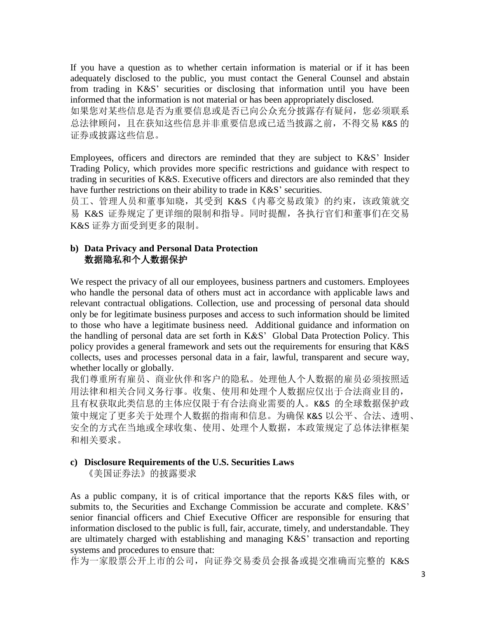If you have a question as to whether certain information is material or if it has been adequately disclosed to the public, you must contact the General Counsel and abstain from trading in K&S' securities or disclosing that information until you have been informed that the information is not material or has been appropriately disclosed.

如果您对某些信息是否自定公是否已向公众充分披露存有疑问,您必须联系 总法律顾问, 且在获知这些信息并非重要信息或已适当披露之前, 不得交易 K&S 的 证券或披露这些信息。

Employees, officers and directors are reminded that they are subject to K&S' Insider Trading Policy, which provides more specific restrictions and guidance with respect to trading in securities of K&S. Executive officers and directors are also reminded that they have further restrictions on their ability to trade in K&S' securities.

员工、管理人员和董事知晓, 其受到 K&S《内幕交易政策》的约束, 该政策就交 易 K&S 证券规定了更详细的限制和指导。同时提醒,各执行官们和董事们在交易 K&S 证券方面受到更多的限制。

## **b) Data Privacy and Personal Data Protection** 数据隐私和个人数据保护

We respect the privacy of all our employees, business partners and customers. Employees who handle the personal data of others must act in accordance with applicable laws and relevant contractual obligations. Collection, use and processing of personal data should only be for legitimate business purposes and access to such information should be limited to those who have a legitimate business need. Additional guidance and information on the handling of personal data are set forth in K&S' Global Data Protection Policy. This policy provides a general framework and sets out the requirements for ensuring that K&S collects, uses and processes personal data in a fair, lawful, transparent and secure way, whether locally or globally.

我们尊重所有雇员、商业伙伴和客户的隐私。处理他人个人数据的雇员必须按照适 用法律和相关合同义务行事。收集、使用和处理个人数据应仅出于合法商业目的, 且有权获取此类信息的主体应仅限于有合法商业需要的人。K&S 的全球数据保护政 策中规定了更多关于处理个人数据的指南和信息。为确保 K&S 以公平、合法、透明、 安全的方式在当地或全球收集、使用、处理个人数据,本政策规定了总体法律框架 和相关要求。

## **c) Disclosure Requirements of the U.S. Securities Laws**

《美国证券法》的披露要求

As a public company, it is of critical importance that the reports K&S files with, or submits to, the Securities and Exchange Commission be accurate and complete. K&S' senior financial officers and Chief Executive Officer are responsible for ensuring that information disclosed to the public is full, fair, accurate, timely, and understandable. They are ultimately charged with establishing and managing K&S' transaction and reporting systems and procedures to ensure that:

作为一家股票公开上市的公司,向证券交易委员会报备或提交准确而完整的 K&S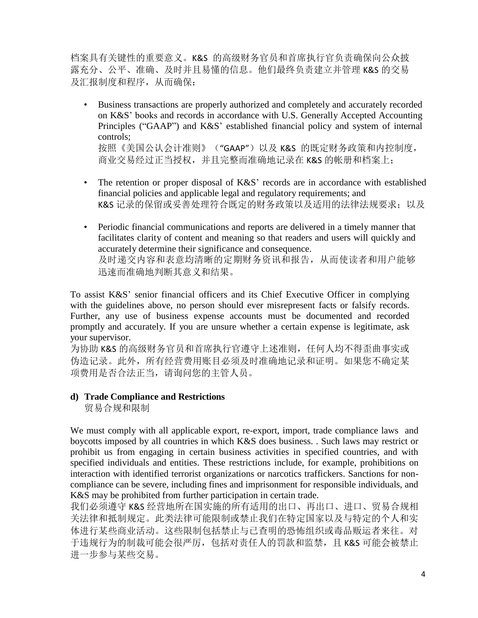档案具有关键性的重要意义。K&S 的高级财务官员和首席执行官负责确保向公众披 露充分、公平、准确、及时并且易懂的信息。他们最终负责建立并管理 K&S 的交易 及汇报制度和程序,从而确保:

- Business transactions are properly authorized and completely and accurately recorded on K&S' books and records in accordance with U.S. Generally Accepted Accounting Principles ("GAAP") and K&S' established financial policy and system of internal controls; 按照《美国公认会计准则》("GAAP")以及 K&S 的既定财务政策和内控制度, 商业交易经过正当授权,并且完整而准确地记录在 K&S 的帐册和档案上;
- The retention or proper disposal of K&S' records are in accordance with established financial policies and applicable legal and regulatory requirements; and K&S 记录的保留或妥善处理符合既定的财务政策以及适用的法律法规要求;以及
- Periodic financial communications and reports are delivered in a timely manner that facilitates clarity of content and meaning so that readers and users will quickly and accurately determine their significance and consequence. 及时递交内容和表意均清晰的定期财务资讯和报告,从而使读者和用户能够 迅速而准确地判断其意义和结果。

To assist K&S' senior financial officers and its Chief Executive Officer in complying with the guidelines above, no person should ever misrepresent facts or falsify records. Further, any use of business expense accounts must be documented and recorded promptly and accurately. If you are unsure whether a certain expense is legitimate, ask your supervisor.

为协助 K&S 的高级财务官员和首席执行官遵守上述准则, 任何人均不得歪曲事实或 伪造记录。此外,所有经营费用账目必须及时准确地记录和证明。如果您不确定某 项费用是否合法正当,请询问您的主管人员。

## **d) Trade Compliance and Restrictions**

贸易合规和限制

We must comply with all applicable export, re-export, import, trade compliance laws and boycotts imposed by all countries in which K&S does business. . Such laws may restrict or prohibit us from engaging in certain business activities in specified countries, and with specified individuals and entities. These restrictions include, for example, prohibitions on interaction with identified terrorist organizations or narcotics traffickers. Sanctions for noncompliance can be severe, including fines and imprisonment for responsible individuals, and K&S may be prohibited from further participation in certain trade.

我们必须遵守 K&S 经营地所在国实施的所有适用的出口、再出口、进口、贸易合规相 关法律和抵制规定。此类法律可能限制或禁止我们在特定国家以及与特定的个人和实 体进行某些商业活动。这些限制包括禁止与已查明的恐怖组织或毒品贩运者来往。对 于违规行为的制裁可能会很严厉,包括对责任人的罚款和监禁,且 K&S 可能会被禁止 进一步参与某些交易。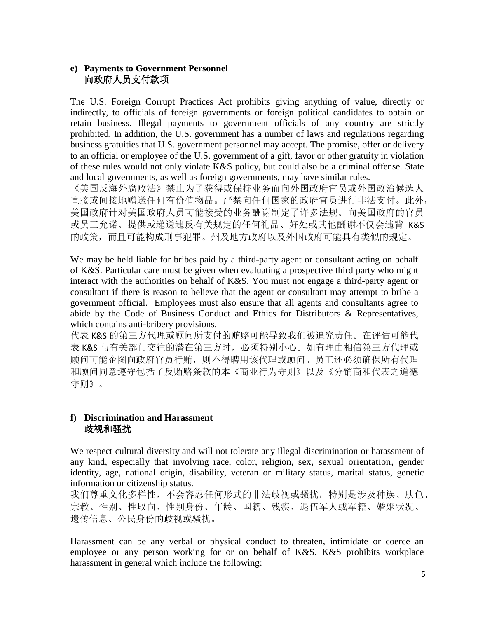# **e) Payments to Government Personnel** 向政府人员支付款项

The U.S. Foreign Corrupt Practices Act prohibits giving anything of value, directly or indirectly, to officials of foreign governments or foreign political candidates to obtain or retain business. Illegal payments to government officials of any country are strictly prohibited. In addition, the U.S. government has a number of laws and regulations regarding business gratuities that U.S. government personnel may accept. The promise, offer or delivery to an official or employee of the U.S. government of a gift, favor or other gratuity in violation of these rules would not only violate K&S policy, but could also be a criminal offense. State and local governments, as well as foreign governments, may have similar rules.

《美国反海外腐败法》禁止为了获得或保持业务而向外国政府官员或外国政治候选人 直接或间接地赠送任何有价值物品。严禁向任何国家的政府官员进行非法支付。此外, 美国政府针对美国政府人员可能接受的业务酬谢制定了许多法规。向美国政府的官员 或员工允诺、提供或递送违反有关规定的任何礼品、好处或其他酬谢不仅会违背 K&S 的政策,而且可能构成刑事犯罪。州及地方政府以及外国政府可能具有类似的规定。

We may be held liable for bribes paid by a third-party agent or consultant acting on behalf of K&S. Particular care must be given when evaluating a prospective third party who might interact with the authorities on behalf of K&S. You must not engage a third-party agent or consultant if there is reason to believe that the agent or consultant may attempt to bribe a government official. Employees must also ensure that all agents and consultants agree to abide by the Code of Business Conduct and Ethics for Distributors & Representatives, which contains anti-bribery provisions.

代表 K&S 的第三方代理或顾问所支付的贿赂可能导致我们被追究责任。在评估可能代 表 K&S 与有关部门交往的潜在第三方时,必须特别小心。如有理由相信第三方代理或 顾问可能企图向政府官员行贿,则不得聘用该代理或顾问。员工还必须确保所有代理 和顾问同意遵守包括了反贿赂条款的本《商业行为守则》以及《分销商和代表之道德 守则》。

# **f) Discrimination and Harassment** 歧视和骚扰

We respect cultural diversity and will not tolerate any illegal discrimination or harassment of any kind, especially that involving race, color, religion, sex, sexual orientation, gender identity, age, national origin, disability, veteran or military status, marital status, genetic information or citizenship status.

我们尊重文化多样性,不会容忍任何形式的非法歧视或骚扰,特别是涉及种族、肤色、 宗教、性别、性取向、性别身份、年龄、国籍、残疾、退伍军人或军籍、婚姻状况、 遗传信息、公民身份的歧视或骚扰。

Harassment can be any verbal or physical conduct to threaten, intimidate or coerce an employee or any person working for or on behalf of K&S. K&S prohibits workplace harassment in general which include the following: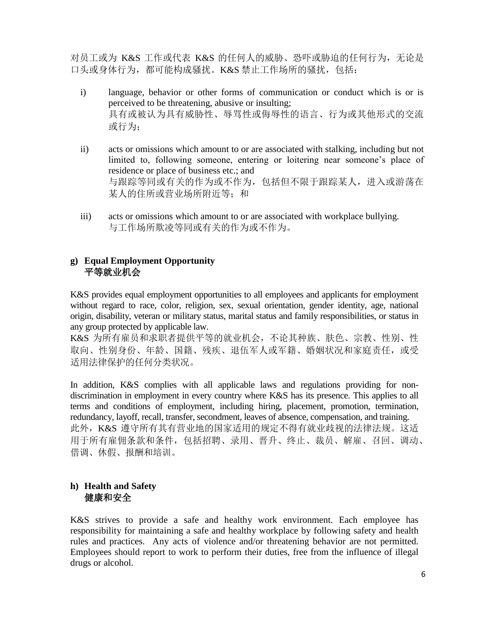对员工或为 K&S 工作或代表 K&S 的任何人的威胁、恐吓或胁迫的任何行为, 无论是 口头或身体行为,都可能构成骚扰。K&S 禁止工作场所的骚扰,包括:

- i) language, behavior or other forms of communication or conduct which is or is perceived to be threatening, abusive or insulting; 具有或被认为具有威胁性、辱骂性或侮辱性的语言、行为或其他形式的交流 或行为;
- ii) acts or omissions which amount to or are associated with stalking, including but not limited to, following someone, entering or loitering near someone's place of residence or place of business etc.; and 与跟踪等同或有关的作为或不作为,包括但不限于跟踪某人,进入或游荡在 某人的住所或营业场所附近等;和
- iii) acts or omissions which amount to or are associated with workplace bullying. 与工作场所欺凌等同或有关的作为或不作为。

# **g) Equal Employment Opportunity** 平等就业机会

K&S provides equal employment opportunities to all employees and applicants for employment without regard to race, color, religion, sex, sexual orientation, gender identity, age, national origin, disability, veteran or military status, marital status and family responsibilities, or status in any group protected by applicable law.

K&S 为所有雇员和求职者提供平等的就业机会,不论其种族、肤色、宗教、性别、性 取向、性别身份、年龄、国籍、残疾、退伍军人或军籍、婚姻状况和家庭责任,或受 适用法律保护的任何分类状况。

In addition, K&S complies with all applicable laws and regulations providing for nondiscrimination in employment in every country where K&S has its presence. This applies to all terms and conditions of employment, including hiring, placement, promotion, termination, redundancy, layoff, recall, transfer, secondment, leaves of absence, compensation, and training. 此外,K&S 遵守所有其有营业地的国家适用的规定不得有就业歧视的法律法规。这适 用于所有雇佣条款和条件,包括招聘、录用、晋升、终止、裁员、解雇、召回、调动、 借调、休假、报酬和培训。

# **h) Health and Safety** 健康和安全

K&S strives to provide a safe and healthy work environment. Each employee has responsibility for maintaining a safe and healthy workplace by following safety and health rules and practices. Any acts of violence and/or threatening behavior are not permitted. Employees should report to work to perform their duties, free from the influence of illegal drugs or alcohol.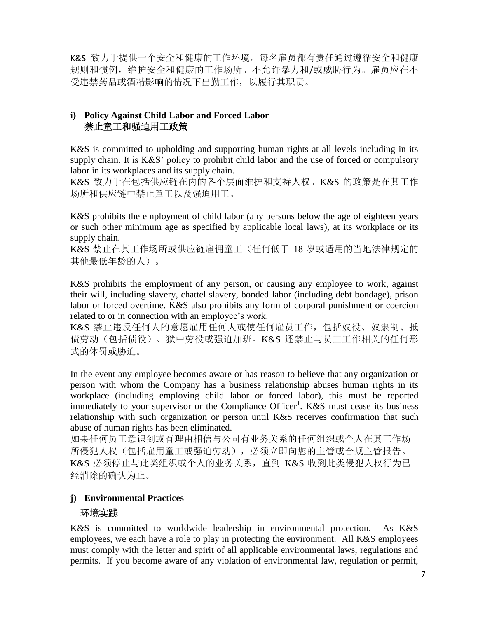K&S 致力于提供一个安全和健康的工作环境。每名雇员都有责任通过遵循安全和健康 规则和惯例,维护安全和健康的工作场所。不允许暴力和/或威胁行为。雇员应在不 受违禁药品或酒精影响的情况下出勤工作,以履行其职责。

# **i) Policy Against Child Labor and Forced Labor** 禁止童工和强迫用工政策

K&S is committed to upholding and supporting human rights at all levels including in its supply chain. It is K&S' policy to prohibit child labor and the use of forced or compulsory labor in its workplaces and its supply chain.

K&S 致力于在包括供应链在内的各个层面维护和支持人权。K&S 的政策是在其工作 场所和供应链中禁止童工以及强迫用工。

K&S prohibits the employment of child labor (any persons below the age of eighteen years or such other minimum age as specified by applicable local laws), at its workplace or its supply chain.

K&S 禁止在其工作场所或供应链雇佣童工(任何低于 18 岁或适用的当地法律规定的 其他最低年龄的人)。

K&S prohibits the employment of any person, or causing any employee to work, against their will, including slavery, chattel slavery, bonded labor (including debt bondage), prison labor or forced overtime. K&S also prohibits any form of corporal punishment or coercion related to or in connection with an employee's work.

K&S 禁止违反任何人的意愿雇用任何人或使任何雇员工作,包括奴役、奴隶制、抵 债劳动(包括债役)、狱中劳役或强迫加班。K&S 还禁止与员工工作相关的任何形 式的体罚或胁迫。

In the event any employee becomes aware or has reason to believe that any organization or person with whom the Company has a business relationship abuses human rights in its workplace (including employing child labor or forced labor), this must be reported immediately to your supervisor or the Compliance Officer<sup>1</sup>. K&S must cease its business relationship with such organization or person until K&S receives confirmation that such abuse of human rights has been eliminated.

如果任何员工意识到或有理由相信与公司有业务关系的任何组织或个人在其工作场 所侵犯人权(包括雇用童工或强迫劳动),必须立即向您的主管或合规主管报告。 K&S 必须停止与此类组织或个人的业务关系,直到 K&S 收到此类侵犯人权行为已 经消除的确认为止。

# **j) Environmental Practices**

## 环境实践

K&S is committed to worldwide leadership in environmental protection. As K&S employees, we each have a role to play in protecting the environment. All K&S employees must comply with the letter and spirit of all applicable environmental laws, regulations and permits. If you become aware of any violation of environmental law, regulation or permit,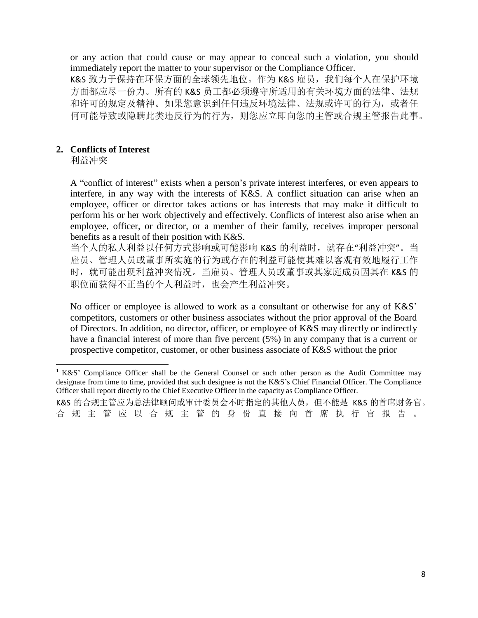or any action that could cause or may appear to conceal such a violation, you should immediately report the matter to your supervisor or the Compliance Officer.

K&S 致力于保持在环保方面的全球领先地位。作为 K&S 雇员, 我们每个人在保护环境 方面都应尽一份力。所有的 K&S 员工都必须遵守所适用的有关环境方面的法律、法规 和许可的规定及精神。如果您意识到任何违反环境法律、法规或许可的行为,或者任 何可能导致或隐瞒此类违反行为的行为,则您应立即向您的主管或合规主管报告此事。

#### **2. Conflicts of Interest**

利益冲突

A "conflict of interest" exists when a person's private interest interferes, or even appears to interfere, in any way with the interests of K&S. A conflict situation can arise when an employee, officer or director takes actions or has interests that may make it difficult to perform his or her work objectively and effectively. Conflicts of interest also arise when an employee, officer, or director, or a member of their family, receives improper personal benefits as a result of their position with K&S.

当个人的私人利益以任何方式影响或可能影响 K&S 的利益时,就存在"利益冲突"。当 雇员、管理人员或董事所实施的行为或存在的利益可能使其难以客观有效地履行工作 时,就可能出现利益冲突情况。当雇员、管理人员或董事或其家庭成员因其在 K&S 的 职位而获得不正当的个人利益时,也会产生利益冲突。

No officer or employee is allowed to work as a consultant or otherwise for any of K&S' competitors, customers or other business associates without the prior approval of the Board of Directors. In addition, no director, officer, or employee of K&S may directly or indirectly have a financial interest of more than five percent (5%) in any company that is a current or prospective competitor, customer, or other business associate of K&S without the prior

<sup>&</sup>lt;sup>1</sup> K&S' Compliance Officer shall be the General Counsel or such other person as the Audit Committee may designate from time to time, provided that such designee is not the K&S's Chief Financial Officer. The Compliance Officer shall report directly to the Chief Executive Officer in the capacity as Compliance Officer.

K&S 的合规主管应为总法律顾问或审计委员会不时指定的其他人员, 但不能是 K&S 的首席财务官。 合 规 主 管 应 以 合 规 主 管 的 身 份 直 接 向 首 席 执 行 官 报 告 。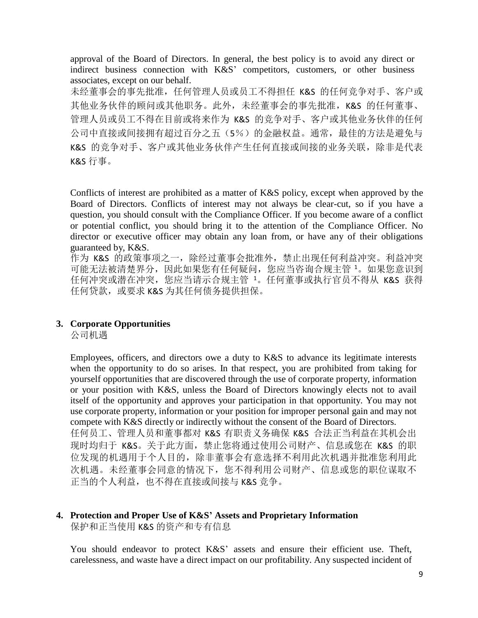approval of the Board of Directors. In general, the best policy is to avoid any direct or indirect business connection with K&S' competitors, customers, or other business associates, except on our behalf.

未经董事会的事先批准,任何管理人员或员工不得担任 K&S 的任何竞争对手、客户或 其他业务伙伴的顾问或其他职务。此外,未经董事会的事先批准,K&S 的任何董事、 管理人员或员工不得在目前或将来作为 K&S 的竞争对手、客户或其他业务伙伴的任何 公司中直接或间接拥有超过百分之五(5%)的金融权益。通常,最佳的方法是避免与 K&S 的竞争对手、客户或其他业务伙伴产生任何直接或间接的业务关联,除非是代表 K&S 行事。

Conflicts of interest are prohibited as a matter of K&S policy, except when approved by the Board of Directors. Conflicts of interest may not always be clear-cut, so if you have a question, you should consult with the Compliance Officer. If you become aware of a conflict or potential conflict, you should bring it to the attention of the Compliance Officer. No director or executive officer may obtain any loan from, or have any of their obligations guaranteed by, K&S.

作为 K&S 的政策事项之一, 除经过董事会批准外, 禁止出现任何利益冲突。利益冲突 可能无法被清楚界分,因此如果您有任何疑问,您应当咨询合规主管 <sup>1</sup>。如果您意识到 任何冲突或潜在冲突,您应当请示合规主管 <sup>1</sup>。任何董事或执行官员不得从 K&S 获得 任何贷款, 或要求 K&S 为其任何债务提供担保。

#### **3. Corporate Opportunities**

公司机遇

Employees, officers, and directors owe a duty to K&S to advance its legitimate interests when the opportunity to do so arises. In that respect, you are prohibited from taking for yourself opportunities that are discovered through the use of corporate property, information or your position with K&S, unless the Board of Directors knowingly elects not to avail itself of the opportunity and approves your participation in that opportunity. You may not use corporate property, information or your position for improper personal gain and may not compete with K&S directly or indirectly without the consent of the Board of Directors. 任何员工、管理人员和董事都对 K&S 有职责义务确保 K&S 合法正当利益在其机会出 现时均归于 K&S。关于此方面,禁止您将通过使用公司财产、信息或您在 K&S 的职 位发现的机遇用于个人目的,除非董事会有意选择不利用此次机遇并批准您利用此 次机遇。未经董事会同意的情况下,您不得利用公司财产、信息或您的职位谋取不 正当的个人利益,也不得在直接或间接与 K&S 竞争。

# **4. Protection and Proper Use of K&S' Assets and Proprietary Information**

保护和正当使用 K&S 的资产和专有信息

You should endeavor to protect K&S' assets and ensure their efficient use. Theft, carelessness, and waste have a direct impact on our profitability. Any suspected incident of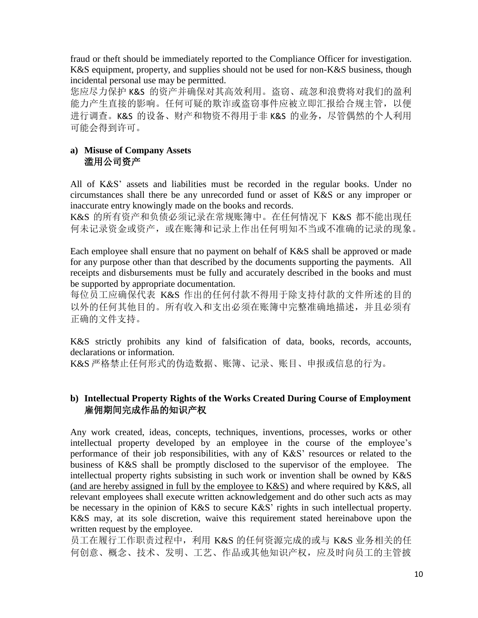fraud or theft should be immediately reported to the Compliance Officer for investigation. K&S equipment, property, and supplies should not be used for non-K&S business, though incidental personal use may be permitted.

您应尽力保护 K&S 的资产并确保对其高效利用。盗窃、疏忽和浪费将对我们的盈利 能力产生直接的影响。任何可疑的欺诈或盗窃事件应被立即汇报给合规主管,以便 进行调查。K&S 的设备、财产和物资不得用于非 K&S 的业务,尽管偶然的个人利用 可能会得到许可。

## **a) Misuse of Company Assets** 滥用公司资产

All of K&S' assets and liabilities must be recorded in the regular books. Under no circumstances shall there be any unrecorded fund or asset of K&S or any improper or inaccurate entry knowingly made on the books and records.

K&S 的所有资产和负债必须记录在常规账簿中。在任何情况下 K&S 都不能出现任 何未记录资金或资产,或在账簿和记录上作出任何明知不当或不准确的记录的现象。

Each employee shall ensure that no payment on behalf of K&S shall be approved or made for any purpose other than that described by the documents supporting the payments. All receipts and disbursements must be fully and accurately described in the books and must be supported by appropriate documentation.

每位员工应确保代表 K&S 作出的任何付款不得用于除支持付款的文件所述的目的 以外的任何其他目的。所有收入和支出必须在账簿中完整准确地描述,并且必须有 正确的文件支持。

K&S strictly prohibits any kind of falsification of data, books, records, accounts, declarations or information.

K&S 严格禁止任何形式的伪造数据、账簿、记录、账目、申报或信息的行为。

## **b) Intellectual Property Rights of the Works Created During Course of Employment** 雇佣期间完成作品的知识产权

Any work created, ideas, concepts, techniques, inventions, processes, works or other intellectual property developed by an employee in the course of the employee's performance of their job responsibilities, with any of K&S' resources or related to the business of K&S shall be promptly disclosed to the supervisor of the employee. The intellectual property rights subsisting in such work or invention shall be owned by K&S (and are hereby assigned in full by the employee to K&S) and where required by K&S, all relevant employees shall execute written acknowledgement and do other such acts as may be necessary in the opinion of K&S to secure K&S' rights in such intellectual property. K&S may, at its sole discretion, waive this requirement stated hereinabove upon the written request by the employee.

员工在履行工作职责过程中,利用 K&S 的任何资源完成的或与 K&S 业务相关的任 何创意、概念、技术、发明、工艺、作品或其他知识产权,应及时向员工的主管披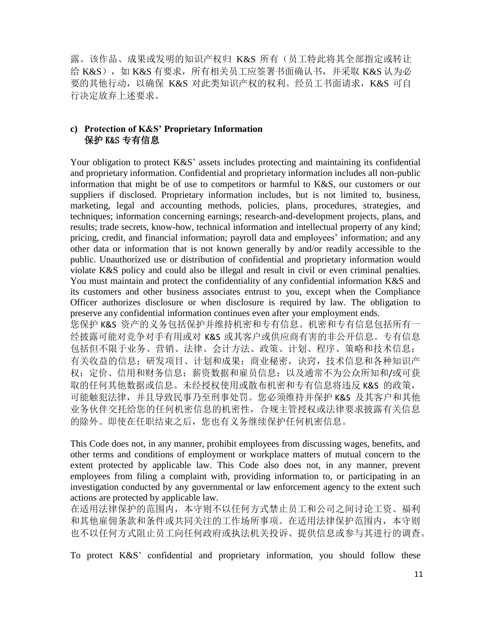露。该作品、成果或发明的知识产权归 K&S 所有(员工特此将其全部指定或转让 给 K&S), 如 K&S 有要求, 所有相关员工应签署书面确认书, 并采取 K&S 认为必 要的其他行动,以确保 K&S 对此类知识产权的权利。经员工书面请求,K&S 可自 行决定放弃上述要求。

## **c) Protection of K&S' Proprietary Information** 保护 K&S 专有信息

Your obligation to protect K&S' assets includes protecting and maintaining its confidential and proprietary information. Confidential and proprietary information includes all non-public information that might be of use to competitors or harmful to K&S, our customers or our suppliers if disclosed. Proprietary information includes, but is not limited to, business, marketing, legal and accounting methods, policies, plans, procedures, strategies, and techniques; information concerning earnings; research-and-development projects, plans, and results; trade secrets, know-how, technical information and intellectual property of any kind; pricing, credit, and financial information; payroll data and employees' information; and any other data or information that is not known generally by and/or readily accessible to the public. Unauthorized use or distribution of confidential and proprietary information would violate K&S policy and could also be illegal and result in civil or even criminal penalties. You must maintain and protect the confidentiality of any confidential information K&S and its customers and other business associates entrust to you, except when the Compliance Officer authorizes disclosure or when disclosure is required by law. The obligation to preserve any confidential information continues even after your employment ends. 您保护 K&S 资产的义务包括保护并维持机密和专有信息。机密和专有信息包括所有一 经披露可能对竞争对手有用或对 K&S 或其客户或供应商有害的非公开信息。专有信息 包括但不限于业务、营销、法律、会计方法、政策、计划、程序、策略和技术信息; 有关收益的信息;研发项目、计划和成果;商业秘密,诀窍,技术信息和各种知识产 权;定价、信用和财务信息;薪资数据和雇员信息;以及通常不为公众所知和/或可获 取的任何其他数据或信息。未经授权使用或散布机密和专有信息将违反 K&S 的政策, 可能触犯法律,并且导致民事乃至刑事处罚。您必须维持并保护 K&S 及其客户和其他 业务伙伴交托给您的任何机密信息的机密性,合规主管授权或法律要求披露有关信息 的除外。即使在任职结束之后,您也有义务继续保护任何机密信息。

This Code does not, in any manner, prohibit employees from discussing wages, benefits, and other terms and conditions of employment or workplace matters of mutual concern to the extent protected by applicable law. This Code also does not, in any manner, prevent employees from filing a complaint with, providing information to, or participating in an investigation conducted by any governmental or law enforcement agency to the extent such actions are protected by applicable law.

在适用法律保护的范围内,本守则不以任何方式禁止员工和公司之间讨论工资、福利 和其他雇佣条款和条件或共同关注的工作场所事项。在适用法律保护范围内,本守则 也不以任何方式阻止员工向任何政府或执法机关投诉、提供信息或参与其进行的调查。

To protect K&S' confidential and proprietary information, you should follow these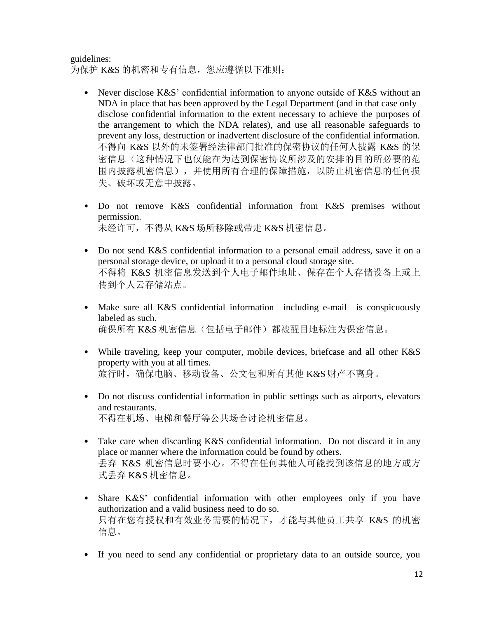guidelines: 为保护 K&S 的机密和专有信息, 您应遵循以下准则:

- Never disclose K&S' confidential information to anyone outside of K&S without an NDA in place that has been approved by the Legal Department (and in that case only disclose confidential information to the extent necessary to achieve the purposes of the arrangement to which the NDA relates), and use all reasonable safeguards to prevent any loss, destruction or inadvertent disclosure of the confidential information. 不得向 K&S 以外的未签署经法律部门批准的保密协议的任何人披露 K&S 的保 密信息(这种情况下也仅能在为达到保密协议所涉及的安排的目的所必要的范 围内披露机密信息),并使用所有合理的保障措施,以防止机密信息的任何损 失、破坏或无意中披露。
- Do not remove K&S confidential information from K&S premises without permission. 未经许可,不得从 K&S 场所移除或带走 K&S 机密信息。
- Do not send K&S confidential information to a personal email address, save it on a personal storage device, or upload it to a personal cloud storage site. 不得将 K&S 机密信息发送到个人电子邮件地址、保存在个人存储设备上或上 传到个人云存储站点。
- Make sure all K&S confidential information—including e-mail—is conspicuously labeled as such. 确保所有 K&S 机密信息(包括电子邮件)都被醒目地标注为保密信息。
- While traveling, keep your computer, mobile devices, briefcase and all other K&S property with you at all times. 旅行时, 确保电脑、移动设备、公文包和所有其他 K&S 财产不离身。
- Do not discuss confidential information in public settings such as airports, elevators and restaurants. 不得在机场、电梯和餐厅等公共场合讨论机密信息。
- Take care when discarding K&S confidential information. Do not discard it in any place or manner where the information could be found by others. 丢弃 K&S 机密信息时要小心。不得在任何其他人可能找到该信息的地方或方 式丢弃 K&S 机密信息。
- Share K&S' confidential information with other employees only if you have authorization and a valid business need to do so. 只有在您有授权和有效业务需要的情况下,才能与其他员工共享 K&S 的机密 信息。
- If you need to send any confidential or proprietary data to an outside source, you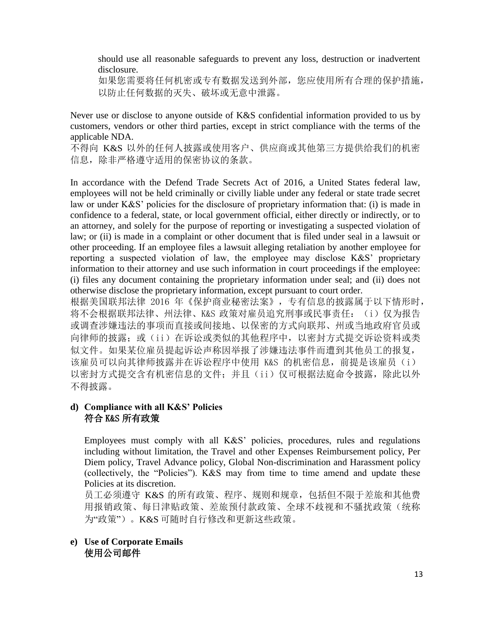should use all reasonable safeguards to prevent any loss, destruction or inadvertent disclosure.

如果您需要将任何机密或专有数据发送到外部,您应使用所有合理的保护措施, 以防止任何数据的灭失、破坏或无意中泄露。

Never use or disclose to anyone outside of K&S confidential information provided to us by customers, vendors or other third parties, except in strict compliance with the terms of the applicable NDA.

不得向 K&S 以外的任何人披露或使用客户、供应商或其他第三方提供给我们的机密 信息,除非严格遵守适用的保密协议的条款。

In accordance with the Defend Trade Secrets Act of 2016, a United States federal law, employees will not be held criminally or civilly liable under any federal or state trade secret law or under K&S' policies for the disclosure of proprietary information that: (i) is made in confidence to a federal, state, or local government official, either directly or indirectly, or to an attorney, and solely for the purpose of reporting or investigating a suspected violation of law; or (ii) is made in a complaint or other document that is filed under seal in a lawsuit or other proceeding. If an employee files a lawsuit alleging retaliation by another employee for reporting a suspected violation of law, the employee may disclose K&S' proprietary information to their attorney and use such information in court proceedings if the employee: (i) files any document containing the proprietary information under seal; and (ii) does not otherwise disclose the proprietary information, except pursuant to court order.

根据美国联邦法律 2016 年《保护商业秘密法案》,专有信息的披露属于以下情形时, 将不会根据联邦法律、州法律、K&S 政策对雇员追究刑事或民事责任: (i) 仅为报告 或调查涉嫌违法的事项而直接或间接地、以保密的方式向联邦、州或当地政府官员或 向律师的披露;或(ii)在诉讼或类似的其他程序中,以密封方式提交诉讼资料或类 似文件。如果某位雇员提起诉讼声称因举报了涉嫌违法事件而遭到其他员工的报复, 该雇员可以向其律师披露并在诉讼程序中使用 K&S 的机密信息, 前提是该雇员(i) 以密封方式提交含有机密信息的文件;并且(ii)仅可根据法庭命令披露,除此以外 不得披露。

## **d) Compliance with all K&S' Policies**  符合 K&S 所有政策

Employees must comply with all K&S' policies, procedures, rules and regulations including without limitation, the Travel and other Expenses Reimbursement policy, Per Diem policy, Travel Advance policy, Global Non-discrimination and Harassment policy (collectively, the "Policies"). K&S may from time to time amend and update these Policies at its discretion.

员工必须遵守 K&S 的所有政策、程序、规则和规章,包括但不限于差旅和其他费 用报销政策、每日津贴政策、差旅预付款政策、全球不歧视和不骚扰政策(统称 为"政策")。K&S 可随时自行修改和更新这些政策。

**e) Use of Corporate Emails** 使用公司邮件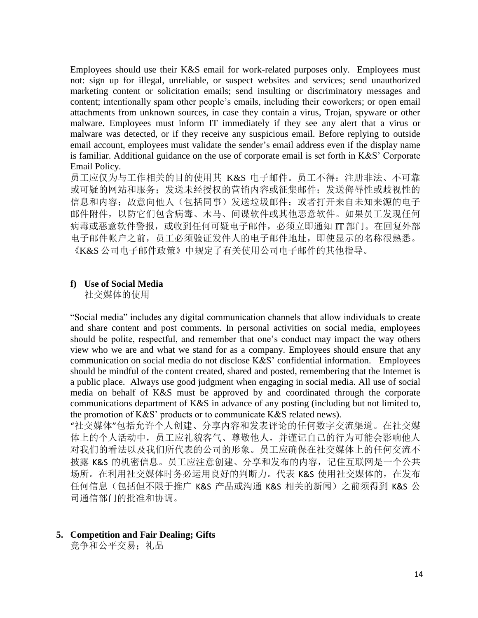Employees should use their K&S email for work-related purposes only. Employees must not: sign up for illegal, unreliable, or suspect websites and services; send unauthorized marketing content or solicitation emails; send insulting or discriminatory messages and content; intentionally spam other people's emails, including their coworkers; or open email attachments from unknown sources, in case they contain a virus, Trojan, spyware or other malware. Employees must inform IT immediately if they see any alert that a virus or malware was detected, or if they receive any suspicious email. Before replying to outside email account, employees must validate the sender's email address even if the display name is familiar. Additional guidance on the use of corporate email is set forth in K&S' Corporate Email Policy.

员工应仅为与工作相关的目的使用其 K&S 电子邮件。员工不得: 注册非法、不可靠 或可疑的网站和服务;发送未经授权的营销内容或征集邮件;发送侮辱性或歧视性的 信息和内容;故意向他人(包括同事)发送垃圾邮件;或者打开来自未知来源的电子 邮件附件,以防它们包含病毒、木马、间谍软件或其他恶意软件。如果员工发现任何 病毒或恶意软件警报,或收到任何可疑电子邮件,必须立即通知 IT 部门。在回复外部 电子邮件帐户之前,员工必须验证发件人的电子邮件地址,即使显示的名称很熟悉。 《K&S 公司电子邮件政策》中规定了有关使用公司电子邮件的其他指导。

#### **f) Use of Social Media**

社交媒体的使用

"Social media" includes any digital communication channels that allow individuals to create and share content and post comments. In personal activities on social media, employees should be polite, respectful, and remember that one's conduct may impact the way others view who we are and what we stand for as a company. Employees should ensure that any communication on social media do not disclose K&S' confidential information. Employees should be mindful of the content created, shared and posted, remembering that the Internet is a public place. Always use good judgment when engaging in social media. All use of social media on behalf of K&S must be approved by and coordinated through the corporate communications department of K&S in advance of any posting (including but not limited to, the promotion of K&S' products or to communicate K&S related news).

"社交媒体"包括允许个人创建、分享内容和发表评论的任何数字交流渠道。在社交媒 体上的个人活动中,员工应礼貌客气、尊敬他人,并谨记自己的行为可能会影响他人 对我们的看法以及我们所代表的公司的形象。员工应确保在社交媒体上的任何交流不 披露 K&S 的机密信息。员工应注意创建、分享和发布的内容,记住互联网是一个公共 场所。在利用社交媒体时务必运用良好的判断力。代表 K&S 使用社交媒体的, 在发布 任何信息(包括但不限于推广 K&S 产品或沟通 K&S 相关的新闻)之前须得到 K&S 公 司通信部门的批准和协调。

**5. Competition and Fair Dealing; Gifts**

竞争和公平交易: 礼品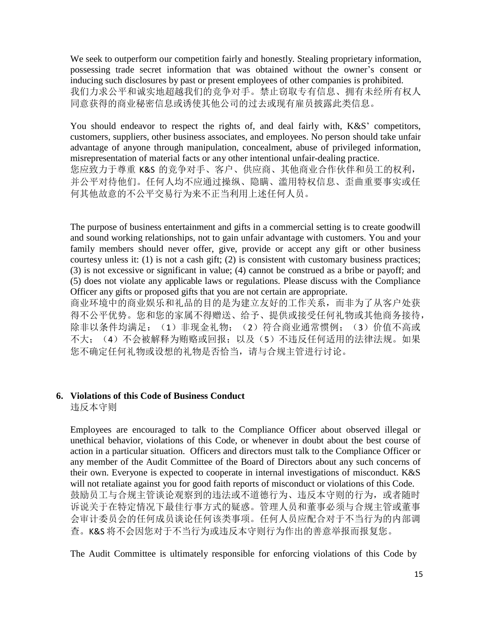We seek to outperform our competition fairly and honestly. Stealing proprietary information, possessing trade secret information that was obtained without the owner's consent or inducing such disclosures by past or present employees of other companies is prohibited. 我们力求公平和诚实地超越我们的竞争对手。禁止窃取专有信息、拥有未经所有权人 同意获得的商业秘密信息或诱使其他公司的过去或现有雇员披露此类信息。

You should endeavor to respect the rights of, and deal fairly with, K&S' competitors, customers, suppliers, other business associates, and employees. No person should take unfair advantage of anyone through manipulation, concealment, abuse of privileged information, misrepresentation of material facts or any other intentional unfair-dealing practice. 您应致力于尊重 K&S 的竞争对手、客户、供应商、其他商业合作伙伴和员工的权利, 并公平对待他们。任何人均不应通过操纵、隐瞒、滥用特权信息、歪曲重要事实或任 何其他故意的不公平交易行为来不正当利用上述任何人员。

The purpose of business entertainment and gifts in a commercial setting is to create goodwill and sound working relationships, not to gain unfair advantage with customers. You and your family members should never offer, give, provide or accept any gift or other business courtesy unless it: (1) is not a cash gift; (2) is consistent with customary business practices; (3) is not excessive or significant in value; (4) cannot be construed as a bribe or payoff; and (5) does not violate any applicable laws or regulations. Please discuss with the Compliance Officer any gifts or proposed gifts that you are not certain are appropriate.

商业环境中的商业娱乐和礼品的目的是为建立友好的工作关系,而非为了从客户处获 得不公平优势。您和您的家属不得赠送、给予、提供或接受任何礼物或其他商务接待, 除非以条件均满足: (1) 非现金礼物; (2) 符合商业通常惯例; (3) 价值不高或 不大;(4)不会被解释为贿赂或回报;以及(5)不违反任何适用的法律法规。如果 您不确定任何礼物或设想的礼物是否恰当,请与合规主管进行讨论。

#### **6. Violations of this Code of Business Conduct**

违反本守则

Employees are encouraged to talk to the Compliance Officer about observed illegal or unethical behavior, violations of this Code, or whenever in doubt about the best course of action in a particular situation. Officers and directors must talk to the Compliance Officer or any member of the Audit Committee of the Board of Directors about any such concerns of their own. Everyone is expected to cooperate in internal investigations of misconduct. K&S will not retaliate against you for good faith reports of misconduct or violations of this Code. 鼓励员工与合规主管谈论观察到的违法或不道德行为、违反本守则的行为,或者随时 诉说关于在特定情况下最佳行事方式的疑惑。管理人员和董事必须与合规主管或董事 会审计委员会的任何成员谈论任何该类事项。任何人员应配合对于不当行为的内部调 查。K&S 将不会因您对于不当行为或违反本守则行为作出的善意举报而报复您。

The Audit Committee is ultimately responsible for enforcing violations of this Code by